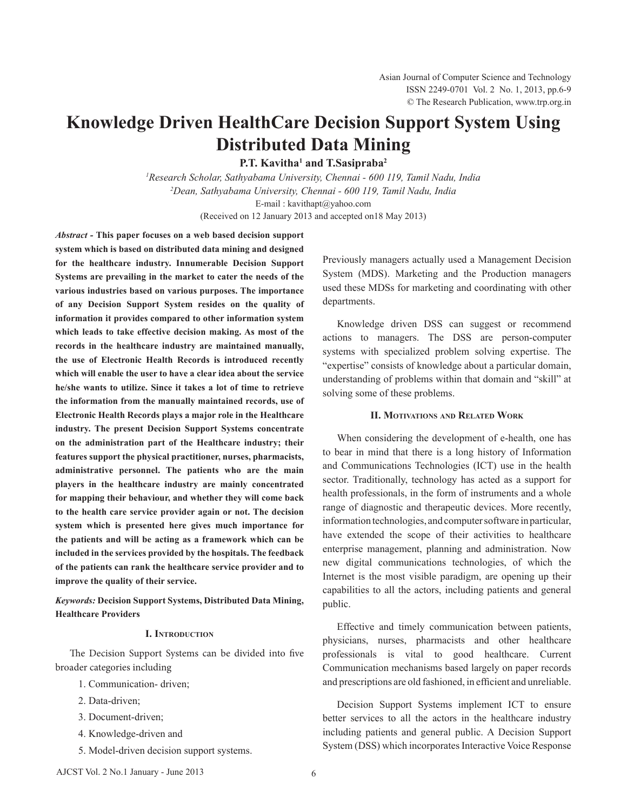# **Knowledge Driven HealthCare Decision Support System Using Distributed Data Mining**

**P.T.** Kavitha<sup>1</sup> and T. Sasipraba<sup>2</sup>

*1 Research Scholar, Sathyabama University, Chennai - 600 119, Tamil Nadu, India 2 Dean, Sathyabama University, Chennai - 600 119, Tamil Nadu, India* E-mail : kavithapt@yahoo.com

(Received on 12 January 2013 and accepted on18 May 2013)

*Abstract -* **This paper focuses on a web based decision support system which is based on distributed data mining and designed for the healthcare industry. Innumerable Decision Support Systems are prevailing in the market to cater the needs of the various industries based on various purposes. The importance of any Decision Support System resides on the quality of information it provides compared to other information system which leads to take effective decision making. As most of the records in the healthcare industry are maintained manually, the use of Electronic Health Records is introduced recently which will enable the user to have a clear idea about the service he/she wants to utilize. Since it takes a lot of time to retrieve the information from the manually maintained records, use of Electronic Health Records plays a major role in the Healthcare industry. The present Decision Support Systems concentrate on the administration part of the Healthcare industry; their features support the physical practitioner, nurses, pharmacists, administrative personnel. The patients who are the main players in the healthcare industry are mainly concentrated for mapping their behaviour, and whether they will come back to the health care service provider again or not. The decision system which is presented here gives much importance for the patients and will be acting as a framework which can be included in the services provided by the hospitals. The feedback of the patients can rank the healthcare service provider and to improve the quality of their service.**

*Keywords:* **Decision Support Systems, Distributed Data Mining, Healthcare Providers**

## **I. Introduction**

The Decision Support Systems can be divided into five broader categories including

- 1. Communication- driven;
- 2. Data-driven;
- 3. Document-driven;
- 4. Knowledge-driven and
- 5. Model-driven decision support systems.

Previously managers actually used a Management Decision System (MDS). Marketing and the Production managers used these MDSs for marketing and coordinating with other departments.

Knowledge driven DSS can suggest or recommend actions to managers. The DSS are person-computer systems with specialized problem solving expertise. The "expertise" consists of knowledge about a particular domain, understanding of problems within that domain and "skill" at solving some of these problems.

## **II. Motivations and Related Work**

When considering the development of e-health, one has to bear in mind that there is a long history of Information and Communications Technologies (ICT) use in the health sector. Traditionally, technology has acted as a support for health professionals, in the form of instruments and a whole range of diagnostic and therapeutic devices. More recently, information technologies, and computer software in particular, have extended the scope of their activities to healthcare enterprise management, planning and administration. Now new digital communications technologies, of which the Internet is the most visible paradigm, are opening up their capabilities to all the actors, including patients and general public.

Effective and timely communication between patients, physicians, nurses, pharmacists and other healthcare professionals is vital to good healthcare. Current Communication mechanisms based largely on paper records and prescriptions are old fashioned, in efficient and unreliable.

 Decision Support Systems implement ICT to ensure better services to all the actors in the healthcare industry including patients and general public. A Decision Support System (DSS) which incorporates Interactive Voice Response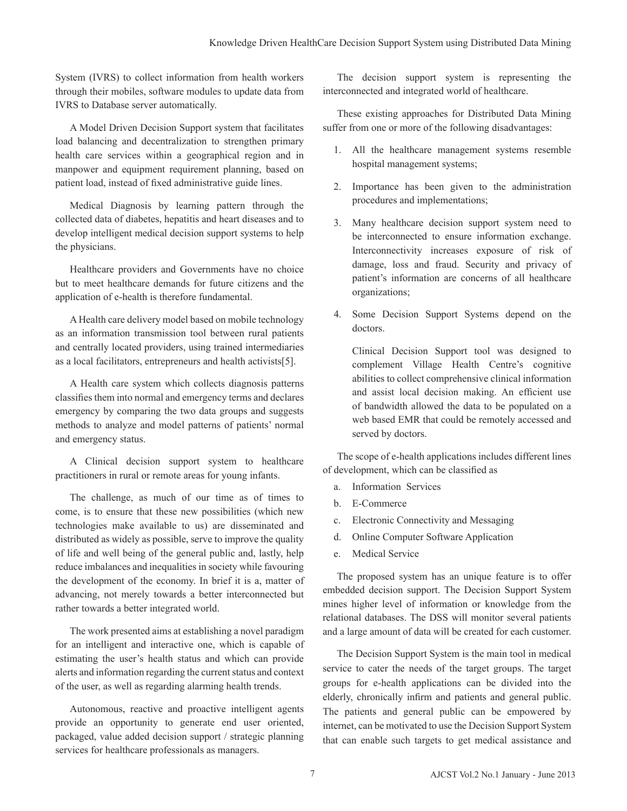System (IVRS) to collect information from health workers through their mobiles, software modules to update data from IVRS to Database server automatically.

A Model Driven Decision Support system that facilitates load balancing and decentralization to strengthen primary health care services within a geographical region and in manpower and equipment requirement planning, based on patient load, instead of fixed administrative guide lines.

Medical Diagnosis by learning pattern through the collected data of diabetes, hepatitis and heart diseases and to develop intelligent medical decision support systems to help the physicians.

Healthcare providers and Governments have no choice but to meet healthcare demands for future citizens and the application of e-health is therefore fundamental.

A Health care delivery model based on mobile technology as an information transmission tool between rural patients and centrally located providers, using trained intermediaries as a local facilitators, entrepreneurs and health activists[5].

A Health care system which collects diagnosis patterns classifies them into normal and emergency terms and declares emergency by comparing the two data groups and suggests methods to analyze and model patterns of patients' normal and emergency status.

 A Clinical decision support system to healthcare practitioners in rural or remote areas for young infants.

The challenge, as much of our time as of times to come, is to ensure that these new possibilities (which new technologies make available to us) are disseminated and distributed as widely as possible, serve to improve the quality of life and well being of the general public and, lastly, help reduce imbalances and inequalities in society while favouring the development of the economy. In brief it is a, matter of advancing, not merely towards a better interconnected but rather towards a better integrated world.

The work presented aims at establishing a novel paradigm for an intelligent and interactive one, which is capable of estimating the user's health status and which can provide alerts and information regarding the current status and context of the user, as well as regarding alarming health trends.

Autonomous, reactive and proactive intelligent agents provide an opportunity to generate end user oriented, packaged, value added decision support / strategic planning services for healthcare professionals as managers.

The decision support system is representing the interconnected and integrated world of healthcare.

 These existing approaches for Distributed Data Mining suffer from one or more of the following disadvantages:

- 1. All the healthcare management systems resemble hospital management systems;
- 2. Importance has been given to the administration procedures and implementations;
- 3. Many healthcare decision support system need to be interconnected to ensure information exchange. Interconnectivity increases exposure of risk of damage, loss and fraud. Security and privacy of patient's information are concerns of all healthcare organizations;
- 4. Some Decision Support Systems depend on the doctors.

Clinical Decision Support tool was designed to complement Village Health Centre's cognitive abilities to collect comprehensive clinical information and assist local decision making. An efficient use of bandwidth allowed the data to be populated on a web based EMR that could be remotely accessed and served by doctors.

The scope of e-health applications includes different lines of development, which can be classified as

- a. Information Services
- b. E-Commerce
- c. Electronic Connectivity and Messaging
- d. Online Computer Software Application
- e. Medical Service

The proposed system has an unique feature is to offer embedded decision support. The Decision Support System mines higher level of information or knowledge from the relational databases. The DSS will monitor several patients and a large amount of data will be created for each customer.

The Decision Support System is the main tool in medical service to cater the needs of the target groups. The target groups for e-health applications can be divided into the elderly, chronically infirm and patients and general public. The patients and general public can be empowered by internet, can be motivated to use the Decision Support System that can enable such targets to get medical assistance and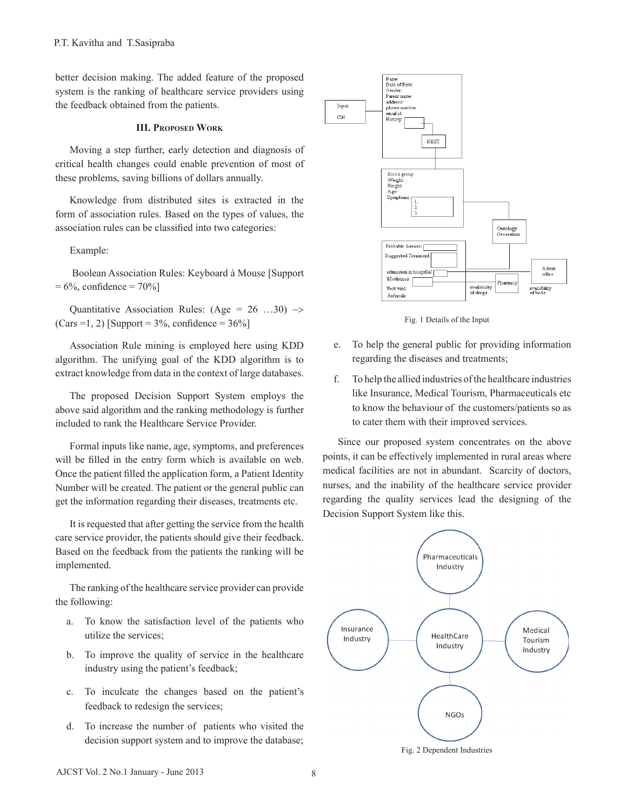better decision making. The added feature of the proposed system is the ranking of healthcare service providers using the feedback obtained from the patients.

# **III. Proposed Work**

Moving a step further, early detection and diagnosis of critical health changes could enable prevention of most of these problems, saving billions of dollars annually.

 Knowledge from distributed sites is extracted in the form of association rules. Based on the types of values, the association rules can be classified into two categories:

 Example:

 Boolean Association Rules: Keyboard à Mouse [Support  $= 6\%$ , confidence  $= 70\%$ ]

Quantitative Association Rules:  $(Age = 26 \dots 30)$   $\rightarrow$  $(Cars = 1, 2)$  [Support =  $3\%$ , confidence =  $36\%$ ]

Association Rule mining is employed here using KDD algorithm. The unifying goal of the KDD algorithm is to extract knowledge from data in the context of large databases.

The proposed Decision Support System employs the above said algorithm and the ranking methodology is further included to rank the Healthcare Service Provider.

Formal inputs like name, age, symptoms, and preferences will be filled in the entry form which is available on web. Once the patient filled the application form, a Patient Identity Number will be created. The patient or the general public can get the information regarding their diseases, treatments etc.

It is requested that after getting the service from the health care service provider, the patients should give their feedback. Based on the feedback from the patients the ranking will be implemented.

The ranking of the healthcare service provider can provide the following:

- a. To know the satisfaction level of the patients who utilize the services;
- b. To improve the quality of service in the healthcare industry using the patient's feedback;
- c. To inculcate the changes based on the patient's feedback to redesign the services;
- d. To increase the number of patients who visited the decision support system and to improve the database;



Fig. 1 Details of the Input

- e. To help the general public for providing information regarding the diseases and treatments;
- f. To help the allied industries of the healthcare industries like Insurance, Medical Tourism, Pharmaceuticals etc to know the behaviour of the customers/patients so as to cater them with their improved services.

Since our proposed system concentrates on the above points, it can be effectively implemented in rural areas where medical facilities are not in abundant. Scarcity of doctors, nurses, and the inability of the healthcare service provider regarding the quality services lead the designing of the Decision Support System like this.